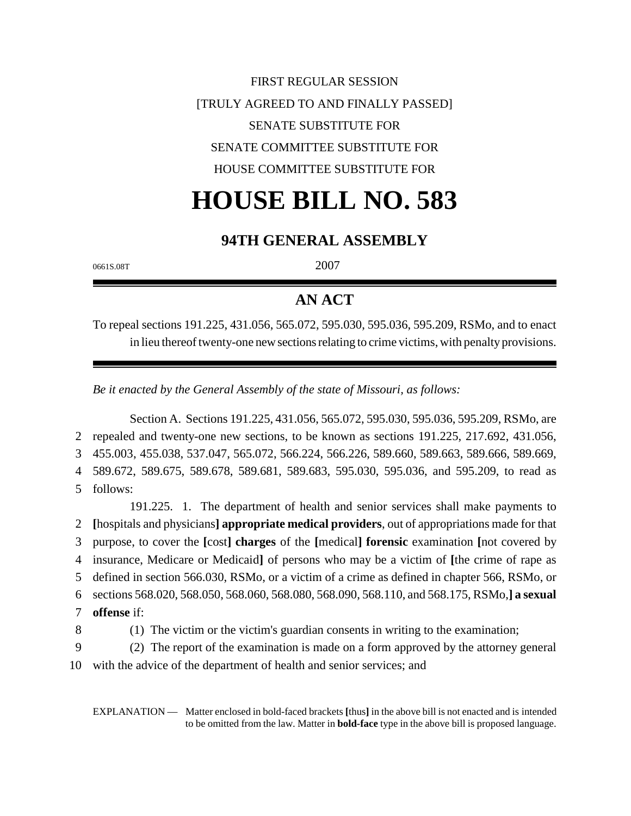FIRST REGULAR SESSION [TRULY AGREED TO AND FINALLY PASSED] SENATE SUBSTITUTE FOR SENATE COMMITTEE SUBSTITUTE FOR HOUSE COMMITTEE SUBSTITUTE FOR

# **HOUSE BILL NO. 583**

### **94TH GENERAL ASSEMBLY**

0661S.08T 2007

## **AN ACT**

To repeal sections 191.225, 431.056, 565.072, 595.030, 595.036, 595.209, RSMo, and to enact in lieu thereof twenty-one new sections relating to crime victims, with penalty provisions.

*Be it enacted by the General Assembly of the state of Missouri, as follows:*

Section A. Sections 191.225, 431.056, 565.072, 595.030, 595.036, 595.209, RSMo, are 2 repealed and twenty-one new sections, to be known as sections 191.225, 217.692, 431.056, 3 455.003, 455.038, 537.047, 565.072, 566.224, 566.226, 589.660, 589.663, 589.666, 589.669, 4 589.672, 589.675, 589.678, 589.681, 589.683, 595.030, 595.036, and 595.209, to read as 5 follows:

191.225. 1. The department of health and senior services shall make payments to **[**hospitals and physicians**] appropriate medical providers**, out of appropriations made for that purpose, to cover the **[**cost**] charges** of the **[**medical**] forensic** examination **[**not covered by insurance, Medicare or Medicaid**]** of persons who may be a victim of **[**the crime of rape as defined in section 566.030, RSMo, or a victim of a crime as defined in chapter 566, RSMo, or sections 568.020, 568.050, 568.060, 568.080, 568.090, 568.110, and 568.175, RSMo,**] a sexual offense** if: (1) The victim or the victim's guardian consents in writing to the examination;

9 (2) The report of the examination is made on a form approved by the attorney general

10 with the advice of the department of health and senior services; and

EXPLANATION — Matter enclosed in bold-faced brackets **[**thus**]** in the above bill is not enacted and is intended to be omitted from the law. Matter in **bold-face** type in the above bill is proposed language.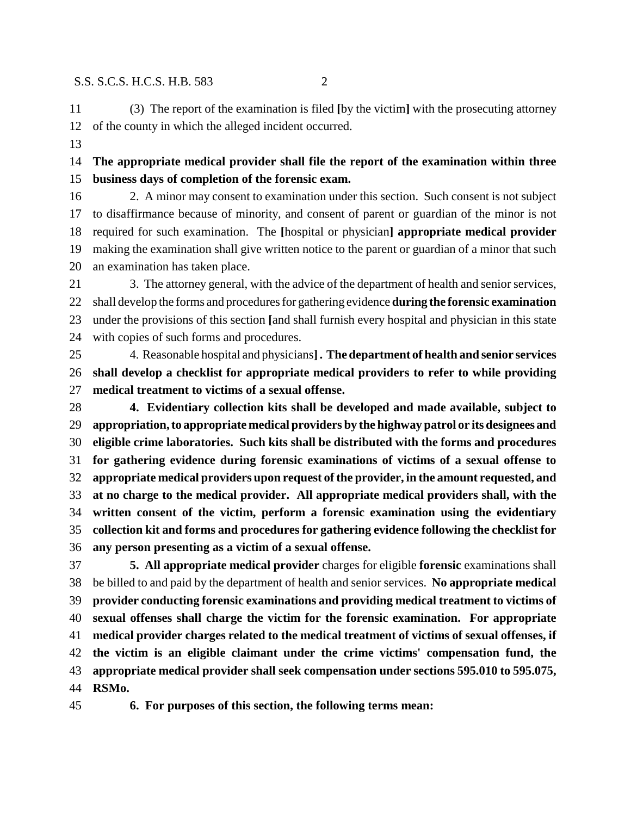(3) The report of the examination is filed **[**by the victim**]** with the prosecuting attorney of the county in which the alleged incident occurred.

 **The appropriate medical provider shall file the report of the examination within three business days of completion of the forensic exam.**

 2. A minor may consent to examination under this section. Such consent is not subject to disaffirmance because of minority, and consent of parent or guardian of the minor is not required for such examination. The **[**hospital or physician**] appropriate medical provider** making the examination shall give written notice to the parent or guardian of a minor that such an examination has taken place.

 3. The attorney general, with the advice of the department of health and senior services, shall develop the forms and procedures for gathering evidence **during the forensic examination** under the provisions of this section **[**and shall furnish every hospital and physician in this state with copies of such forms and procedures.

 4. Reasonable hospital and physicians**]. The department of health and senior services shall develop a checklist for appropriate medical providers to refer to while providing medical treatment to victims of a sexual offense.**

 **4. Evidentiary collection kits shall be developed and made available, subject to appropriation, to appropriate medical providers by the highway patrol or its designees and eligible crime laboratories. Such kits shall be distributed with the forms and procedures for gathering evidence during forensic examinations of victims of a sexual offense to appropriate medical providers upon request of the provider, in the amount requested, and at no charge to the medical provider. All appropriate medical providers shall, with the written consent of the victim, perform a forensic examination using the evidentiary collection kit and forms and procedures for gathering evidence following the checklist for any person presenting as a victim of a sexual offense.**

 **5. All appropriate medical provider** charges for eligible **forensic** examinations shall be billed to and paid by the department of health and senior services. **No appropriate medical provider conducting forensic examinations and providing medical treatment to victims of sexual offenses shall charge the victim for the forensic examination. For appropriate medical provider charges related to the medical treatment of victims of sexual offenses, if the victim is an eligible claimant under the crime victims' compensation fund, the appropriate medical provider shall seek compensation under sections 595.010 to 595.075, RSMo.**

**6. For purposes of this section, the following terms mean:**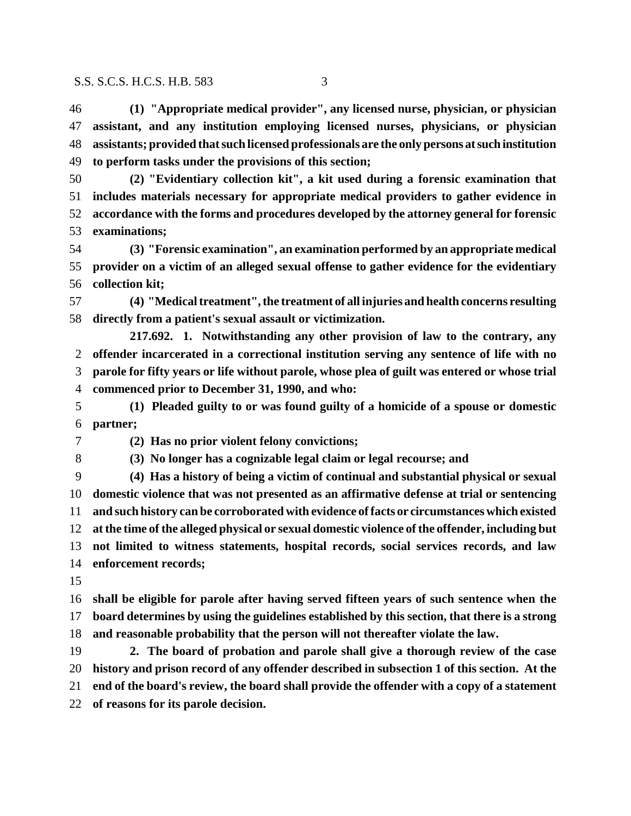**(1) "Appropriate medical provider", any licensed nurse, physician, or physician assistant, and any institution employing licensed nurses, physicians, or physician assistants; provided that such licensed professionals are the only persons at such institution to perform tasks under the provisions of this section;**

- **(2) "Evidentiary collection kit", a kit used during a forensic examination that includes materials necessary for appropriate medical providers to gather evidence in accordance with the forms and procedures developed by the attorney general for forensic examinations;**
- **(3) "Forensic examination", an examination performed by an appropriate medical provider on a victim of an alleged sexual offense to gather evidence for the evidentiary collection kit;**

 **(4) "Medical treatment", the treatment of all injuries and health concerns resulting directly from a patient's sexual assault or victimization.**

**217.692. 1. Notwithstanding any other provision of law to the contrary, any offender incarcerated in a correctional institution serving any sentence of life with no parole for fifty years or life without parole, whose plea of guilt was entered or whose trial commenced prior to December 31, 1990, and who:**

 **(1) Pleaded guilty to or was found guilty of a homicide of a spouse or domestic partner;**

**(2) Has no prior violent felony convictions;**

**(3) No longer has a cognizable legal claim or legal recourse; and**

 **(4) Has a history of being a victim of continual and substantial physical or sexual domestic violence that was not presented as an affirmative defense at trial or sentencing and such history can be corroborated with evidence of facts or circumstances which existed at the time of the alleged physical or sexual domestic violence of the offender, including but not limited to witness statements, hospital records, social services records, and law enforcement records;**

 **shall be eligible for parole after having served fifteen years of such sentence when the board determines by using the guidelines established by this section, that there is a strong and reasonable probability that the person will not thereafter violate the law.**

 **2. The board of probation and parole shall give a thorough review of the case history and prison record of any offender described in subsection 1 of this section. At the end of the board's review, the board shall provide the offender with a copy of a statement of reasons for its parole decision.**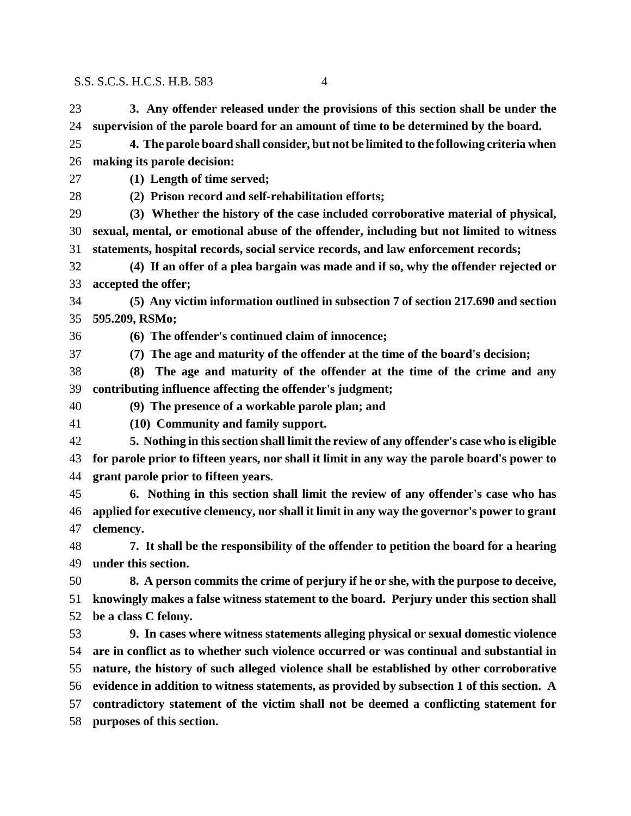- **3. Any offender released under the provisions of this section shall be under the supervision of the parole board for an amount of time to be determined by the board. 4. The parole board shall consider, but not be limited to the following criteria when making its parole decision:**
- 

**(1) Length of time served;**

- **(2) Prison record and self-rehabilitation efforts;**
- **(3) Whether the history of the case included corroborative material of physical, sexual, mental, or emotional abuse of the offender, including but not limited to witness statements, hospital records, social service records, and law enforcement records;**
- **(4) If an offer of a plea bargain was made and if so, why the offender rejected or accepted the offer;**

 **(5) Any victim information outlined in subsection 7 of section 217.690 and section 595.209, RSMo;**

- **(6) The offender's continued claim of innocence;**
- **(7) The age and maturity of the offender at the time of the board's decision;**
- **(8) The age and maturity of the offender at the time of the crime and any contributing influence affecting the offender's judgment;**
- **(9) The presence of a workable parole plan; and**
- **(10) Community and family support.**
- **5. Nothing in this section shall limit the review of any offender's case who is eligible for parole prior to fifteen years, nor shall it limit in any way the parole board's power to grant parole prior to fifteen years.**

 **6. Nothing in this section shall limit the review of any offender's case who has applied for executive clemency, nor shall it limit in any way the governor's power to grant clemency.**

 **7. It shall be the responsibility of the offender to petition the board for a hearing under this section.**

 **8. A person commits the crime of perjury if he or she, with the purpose to deceive, knowingly makes a false witness statement to the board. Perjury under this section shall be a class C felony.**

 **9. In cases where witness statements alleging physical or sexual domestic violence are in conflict as to whether such violence occurred or was continual and substantial in nature, the history of such alleged violence shall be established by other corroborative evidence in addition to witness statements, as provided by subsection 1 of this section. A contradictory statement of the victim shall not be deemed a conflicting statement for purposes of this section.**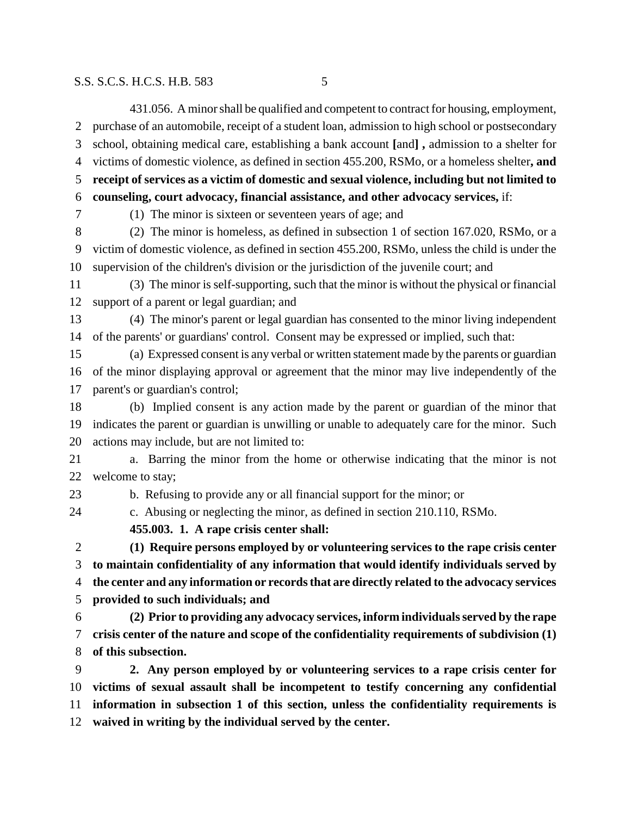431.056. A minor shall be qualified and competent to contract for housing, employment, purchase of an automobile, receipt of a student loan, admission to high school or postsecondary school, obtaining medical care, establishing a bank account **[**and**] ,** admission to a shelter for victims of domestic violence, as defined in section 455.200, RSMo, or a homeless shelter**, and receipt of services as a victim of domestic and sexual violence, including but not limited to counseling, court advocacy, financial assistance, and other advocacy services,** if: (1) The minor is sixteen or seventeen years of age; and (2) The minor is homeless, as defined in subsection 1 of section 167.020, RSMo, or a victim of domestic violence, as defined in section 455.200, RSMo, unless the child is under the supervision of the children's division or the jurisdiction of the juvenile court; and (3) The minor is self-supporting, such that the minor is without the physical or financial support of a parent or legal guardian; and (4) The minor's parent or legal guardian has consented to the minor living independent of the parents' or guardians' control. Consent may be expressed or implied, such that: (a) Expressed consent is any verbal or written statement made by the parents or guardian of the minor displaying approval or agreement that the minor may live independently of the parent's or guardian's control; (b) Implied consent is any action made by the parent or guardian of the minor that indicates the parent or guardian is unwilling or unable to adequately care for the minor. Such actions may include, but are not limited to: a. Barring the minor from the home or otherwise indicating that the minor is not welcome to stay; b. Refusing to provide any or all financial support for the minor; or c. Abusing or neglecting the minor, as defined in section 210.110, RSMo. **455.003. 1. A rape crisis center shall: (1) Require persons employed by or volunteering services to the rape crisis center to maintain confidentiality of any information that would identify individuals served by the center and any information or records that are directly related to the advocacy services provided to such individuals; and (2) Prior to providing any advocacy services, inform individuals served by the rape crisis center of the nature and scope of the confidentiality requirements of subdivision (1) of this subsection. 2. Any person employed by or volunteering services to a rape crisis center for victims of sexual assault shall be incompetent to testify concerning any confidential information in subsection 1 of this section, unless the confidentiality requirements is waived in writing by the individual served by the center.**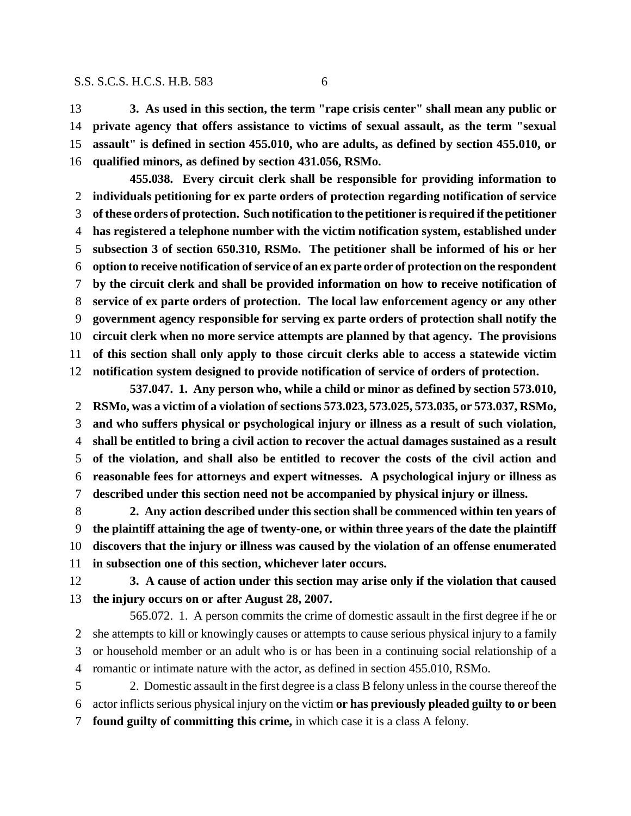**3. As used in this section, the term "rape crisis center" shall mean any public or private agency that offers assistance to victims of sexual assault, as the term "sexual assault" is defined in section 455.010, who are adults, as defined by section 455.010, or qualified minors, as defined by section 431.056, RSMo.**

**455.038. Every circuit clerk shall be responsible for providing information to individuals petitioning for ex parte orders of protection regarding notification of service of these orders of protection. Such notification to the petitioner is required if the petitioner has registered a telephone number with the victim notification system, established under subsection 3 of section 650.310, RSMo. The petitioner shall be informed of his or her option to receive notification of service of an ex parte order of protection on the respondent by the circuit clerk and shall be provided information on how to receive notification of service of ex parte orders of protection. The local law enforcement agency or any other government agency responsible for serving ex parte orders of protection shall notify the circuit clerk when no more service attempts are planned by that agency. The provisions of this section shall only apply to those circuit clerks able to access a statewide victim notification system designed to provide notification of service of orders of protection.**

**537.047. 1. Any person who, while a child or minor as defined by section 573.010, RSMo, was a victim of a violation of sections 573.023, 573.025, 573.035, or 573.037, RSMo, and who suffers physical or psychological injury or illness as a result of such violation, shall be entitled to bring a civil action to recover the actual damages sustained as a result of the violation, and shall also be entitled to recover the costs of the civil action and reasonable fees for attorneys and expert witnesses. A psychological injury or illness as described under this section need not be accompanied by physical injury or illness.**

 **2. Any action described under this section shall be commenced within ten years of the plaintiff attaining the age of twenty-one, or within three years of the date the plaintiff discovers that the injury or illness was caused by the violation of an offense enumerated in subsection one of this section, whichever later occurs.**

 **3. A cause of action under this section may arise only if the violation that caused the injury occurs on or after August 28, 2007.**

565.072. 1. A person commits the crime of domestic assault in the first degree if he or she attempts to kill or knowingly causes or attempts to cause serious physical injury to a family or household member or an adult who is or has been in a continuing social relationship of a romantic or intimate nature with the actor, as defined in section 455.010, RSMo.

 2. Domestic assault in the first degree is a class B felony unless in the course thereof the actor inflicts serious physical injury on the victim **or has previously pleaded guilty to or been found guilty of committing this crime,** in which case it is a class A felony.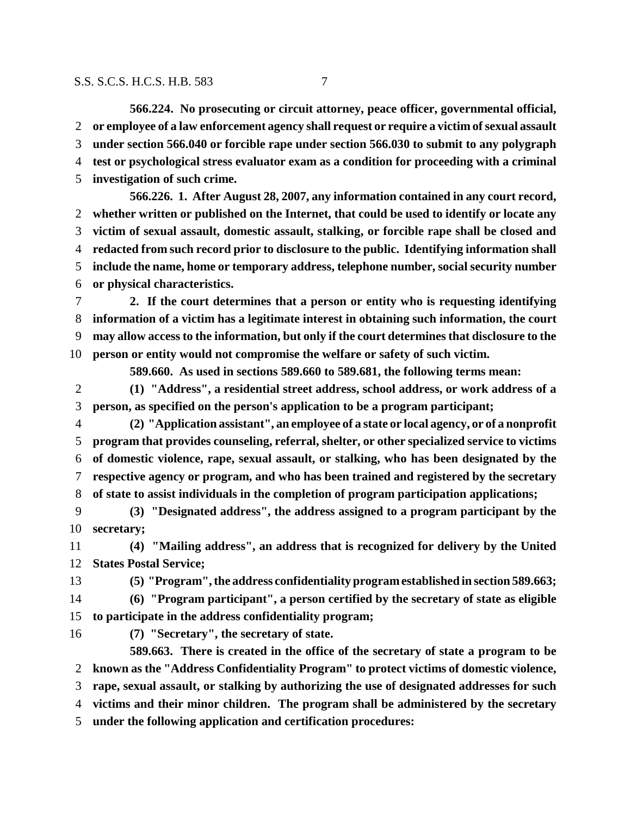**566.224. No prosecuting or circuit attorney, peace officer, governmental official, or employee of a law enforcement agency shall request or require a victim of sexual assault under section 566.040 or forcible rape under section 566.030 to submit to any polygraph test or psychological stress evaluator exam as a condition for proceeding with a criminal investigation of such crime.**

**566.226. 1. After August 28, 2007, any information contained in any court record, whether written or published on the Internet, that could be used to identify or locate any victim of sexual assault, domestic assault, stalking, or forcible rape shall be closed and redacted from such record prior to disclosure to the public. Identifying information shall include the name, home or temporary address, telephone number, social security number or physical characteristics.**

 **2. If the court determines that a person or entity who is requesting identifying information of a victim has a legitimate interest in obtaining such information, the court may allow access to the information, but only if the court determines that disclosure to the person or entity would not compromise the welfare or safety of such victim.**

**589.660. As used in sections 589.660 to 589.681, the following terms mean:**

 **(1) "Address", a residential street address, school address, or work address of a person, as specified on the person's application to be a program participant;**

- **(2) "Application assistant", an employee of a state or local agency, or of a nonprofit program that provides counseling, referral, shelter, or other specialized service to victims of domestic violence, rape, sexual assault, or stalking, who has been designated by the respective agency or program, and who has been trained and registered by the secretary of state to assist individuals in the completion of program participation applications;**
- **(3) "Designated address", the address assigned to a program participant by the secretary;**

 **(4) "Mailing address", an address that is recognized for delivery by the United States Postal Service;**

**(5) "Program", the address confidentiality program established in section 589.663;**

 **(6) "Program participant", a person certified by the secretary of state as eligible to participate in the address confidentiality program;**

**(7) "Secretary", the secretary of state.**

**589.663. There is created in the office of the secretary of state a program to be known as the "Address Confidentiality Program" to protect victims of domestic violence, rape, sexual assault, or stalking by authorizing the use of designated addresses for such victims and their minor children. The program shall be administered by the secretary under the following application and certification procedures:**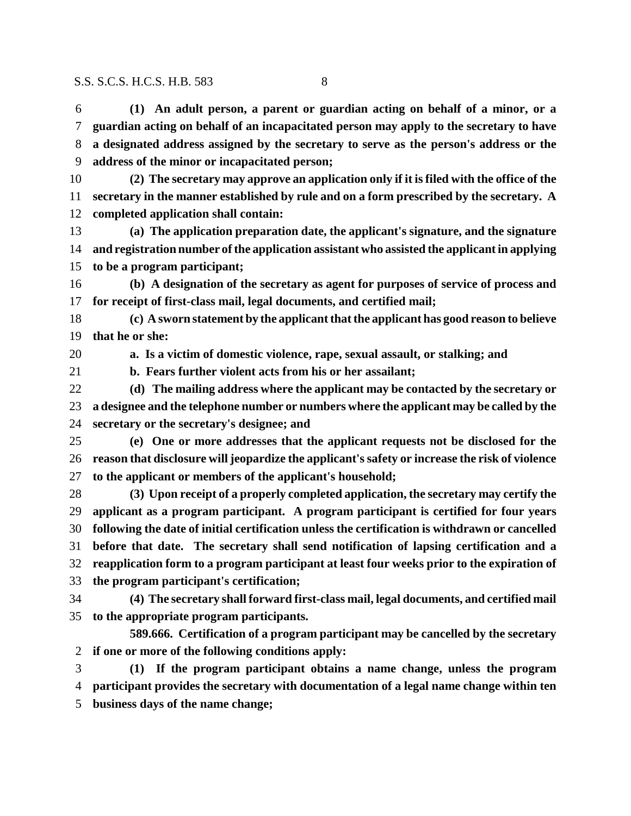**(1) An adult person, a parent or guardian acting on behalf of a minor, or a guardian acting on behalf of an incapacitated person may apply to the secretary to have a designated address assigned by the secretary to serve as the person's address or the address of the minor or incapacitated person;**

- **(2) The secretary may approve an application only if it is filed with the office of the secretary in the manner established by rule and on a form prescribed by the secretary. A completed application shall contain:**
- **(a) The application preparation date, the applicant's signature, and the signature and registration number of the application assistant who assisted the applicant in applying to be a program participant;**

 **(b) A designation of the secretary as agent for purposes of service of process and for receipt of first-class mail, legal documents, and certified mail;**

 **(c) A sworn statement by the applicant that the applicant has good reason to believe that he or she:**

**a. Is a victim of domestic violence, rape, sexual assault, or stalking; and**

**b. Fears further violent acts from his or her assailant;**

 **(d) The mailing address where the applicant may be contacted by the secretary or a designee and the telephone number or numbers where the applicant may be called by the secretary or the secretary's designee; and**

 **(e) One or more addresses that the applicant requests not be disclosed for the reason that disclosure will jeopardize the applicant's safety or increase the risk of violence to the applicant or members of the applicant's household;**

 **(3) Upon receipt of a properly completed application, the secretary may certify the applicant as a program participant. A program participant is certified for four years following the date of initial certification unless the certification is withdrawn or cancelled before that date. The secretary shall send notification of lapsing certification and a reapplication form to a program participant at least four weeks prior to the expiration of the program participant's certification;**

 **(4) The secretary shall forward first-class mail, legal documents, and certified mail to the appropriate program participants.**

**589.666. Certification of a program participant may be cancelled by the secretary if one or more of the following conditions apply:**

 **(1) If the program participant obtains a name change, unless the program participant provides the secretary with documentation of a legal name change within ten**

**business days of the name change;**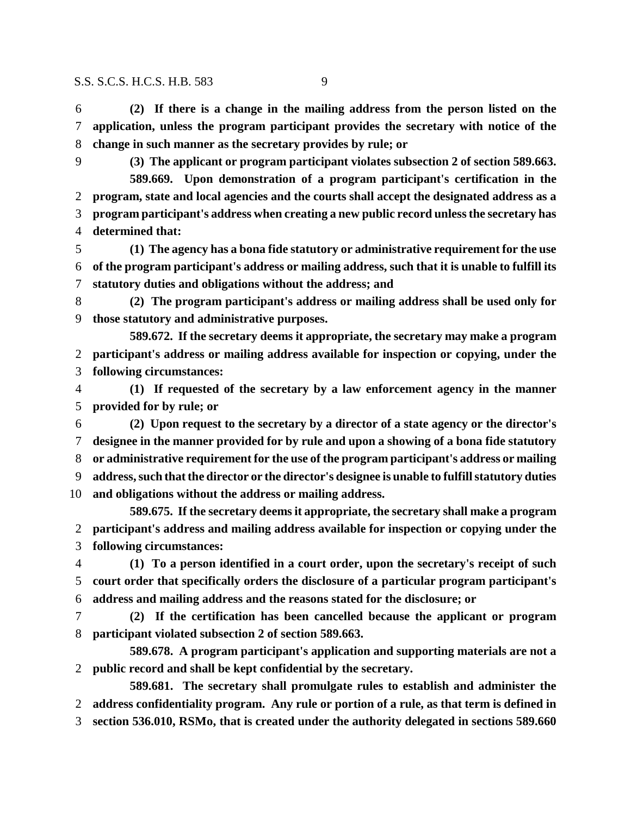**(2) If there is a change in the mailing address from the person listed on the application, unless the program participant provides the secretary with notice of the change in such manner as the secretary provides by rule; or**

 **(3) The applicant or program participant violates subsection 2 of section 589.663. 589.669. Upon demonstration of a program participant's certification in the program, state and local agencies and the courts shall accept the designated address as a program participant's address when creating a new public record unless the secretary has determined that:**

 **(1) The agency has a bona fide statutory or administrative requirement for the use of the program participant's address or mailing address, such that it is unable to fulfill its statutory duties and obligations without the address; and**

 **(2) The program participant's address or mailing address shall be used only for those statutory and administrative purposes.**

**589.672. If the secretary deems it appropriate, the secretary may make a program participant's address or mailing address available for inspection or copying, under the following circumstances:**

 **(1) If requested of the secretary by a law enforcement agency in the manner provided for by rule; or**

 **(2) Upon request to the secretary by a director of a state agency or the director's designee in the manner provided for by rule and upon a showing of a bona fide statutory or administrative requirement for the use of the program participant's address or mailing address, such that the director or the director's designee is unable to fulfill statutory duties and obligations without the address or mailing address.**

**589.675. If the secretary deems it appropriate, the secretary shall make a program participant's address and mailing address available for inspection or copying under the following circumstances:**

 **(1) To a person identified in a court order, upon the secretary's receipt of such court order that specifically orders the disclosure of a particular program participant's address and mailing address and the reasons stated for the disclosure; or**

 **(2) If the certification has been cancelled because the applicant or program participant violated subsection 2 of section 589.663.**

**589.678. A program participant's application and supporting materials are not a public record and shall be kept confidential by the secretary.**

**589.681. The secretary shall promulgate rules to establish and administer the address confidentiality program. Any rule or portion of a rule, as that term is defined in**

**section 536.010, RSMo, that is created under the authority delegated in sections 589.660**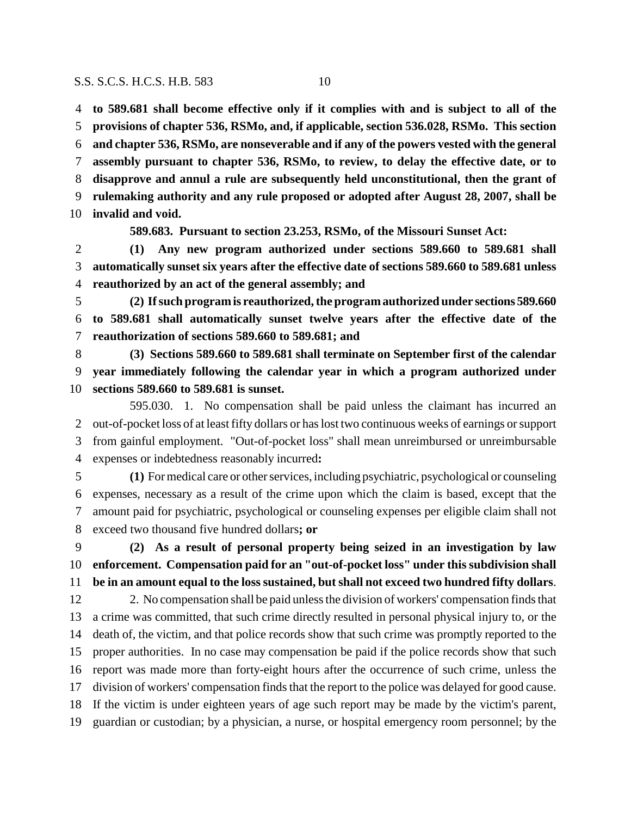**to 589.681 shall become effective only if it complies with and is subject to all of the provisions of chapter 536, RSMo, and, if applicable, section 536.028, RSMo. This section and chapter 536, RSMo, are nonseverable and if any of the powers vested with the general assembly pursuant to chapter 536, RSMo, to review, to delay the effective date, or to disapprove and annul a rule are subsequently held unconstitutional, then the grant of rulemaking authority and any rule proposed or adopted after August 28, 2007, shall be invalid and void.**

**589.683. Pursuant to section 23.253, RSMo, of the Missouri Sunset Act:**

 **(1) Any new program authorized under sections 589.660 to 589.681 shall automatically sunset six years after the effective date of sections 589.660 to 589.681 unless reauthorized by an act of the general assembly; and**

 **(2) If such program is reauthorized, the program authorized under sections 589.660 to 589.681 shall automatically sunset twelve years after the effective date of the reauthorization of sections 589.660 to 589.681; and**

 **(3) Sections 589.660 to 589.681 shall terminate on September first of the calendar year immediately following the calendar year in which a program authorized under sections 589.660 to 589.681 is sunset.**

595.030. 1. No compensation shall be paid unless the claimant has incurred an out-of-pocket loss of at least fifty dollars or has lost two continuous weeks of earnings or support from gainful employment. "Out-of-pocket loss" shall mean unreimbursed or unreimbursable expenses or indebtedness reasonably incurred**:**

 **(1)** For medical care or other services, including psychiatric, psychological or counseling expenses, necessary as a result of the crime upon which the claim is based, except that the amount paid for psychiatric, psychological or counseling expenses per eligible claim shall not exceed two thousand five hundred dollars**; or**

 **(2) As a result of personal property being seized in an investigation by law enforcement. Compensation paid for an "out-of-pocket loss" under this subdivision shall be in an amount equal to the loss sustained, but shall not exceed two hundred fifty dollars**.

 2. No compensation shall be paid unless the division of workers' compensation finds that a crime was committed, that such crime directly resulted in personal physical injury to, or the death of, the victim, and that police records show that such crime was promptly reported to the proper authorities. In no case may compensation be paid if the police records show that such report was made more than forty-eight hours after the occurrence of such crime, unless the division of workers' compensation finds that the report to the police was delayed for good cause. If the victim is under eighteen years of age such report may be made by the victim's parent, guardian or custodian; by a physician, a nurse, or hospital emergency room personnel; by the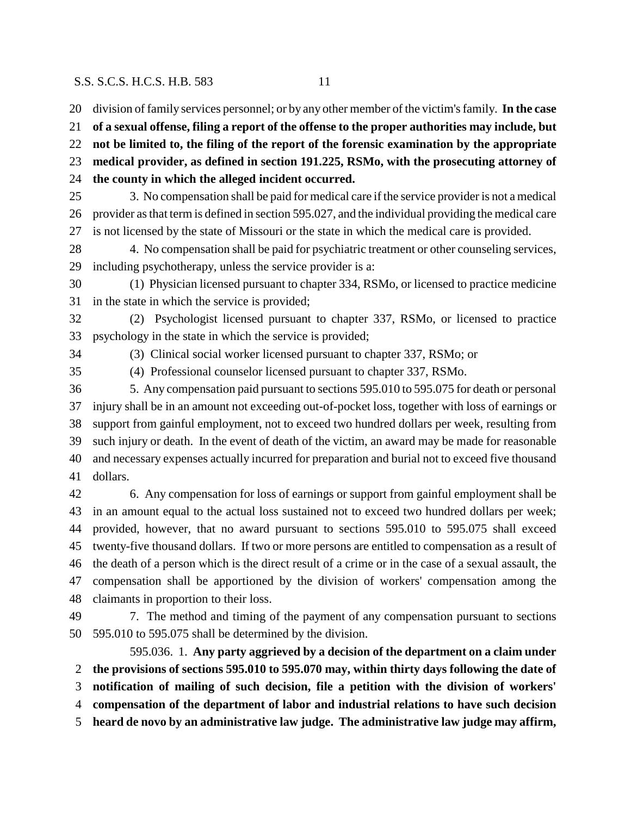division of family services personnel; or by any other member of the victim's family. **In the case of a sexual offense, filing a report of the offense to the proper authorities may include, but not be limited to, the filing of the report of the forensic examination by the appropriate medical provider, as defined in section 191.225, RSMo, with the prosecuting attorney of the county in which the alleged incident occurred.** 3. No compensation shall be paid for medical care if the service provider is not a medical provider as that term is defined in section 595.027, and the individual providing the medical care is not licensed by the state of Missouri or the state in which the medical care is provided. 4. No compensation shall be paid for psychiatric treatment or other counseling services, including psychotherapy, unless the service provider is a: (1) Physician licensed pursuant to chapter 334, RSMo, or licensed to practice medicine in the state in which the service is provided; (2) Psychologist licensed pursuant to chapter 337, RSMo, or licensed to practice psychology in the state in which the service is provided; (3) Clinical social worker licensed pursuant to chapter 337, RSMo; or (4) Professional counselor licensed pursuant to chapter 337, RSMo. 5. Any compensation paid pursuant to sections 595.010 to 595.075 for death or personal injury shall be in an amount not exceeding out-of-pocket loss, together with loss of earnings or support from gainful employment, not to exceed two hundred dollars per week, resulting from such injury or death. In the event of death of the victim, an award may be made for reasonable and necessary expenses actually incurred for preparation and burial not to exceed five thousand dollars. 6. Any compensation for loss of earnings or support from gainful employment shall be in an amount equal to the actual loss sustained not to exceed two hundred dollars per week; provided, however, that no award pursuant to sections 595.010 to 595.075 shall exceed twenty-five thousand dollars. If two or more persons are entitled to compensation as a result of the death of a person which is the direct result of a crime or in the case of a sexual assault, the compensation shall be apportioned by the division of workers' compensation among the claimants in proportion to their loss. 7. The method and timing of the payment of any compensation pursuant to sections 595.010 to 595.075 shall be determined by the division. 595.036. 1. **Any party aggrieved by a decision of the department on a claim under the provisions of sections 595.010 to 595.070 may, within thirty days following the date of**

**notification of mailing of such decision, file a petition with the division of workers'**

**compensation of the department of labor and industrial relations to have such decision**

**heard de novo by an administrative law judge. The administrative law judge may affirm,**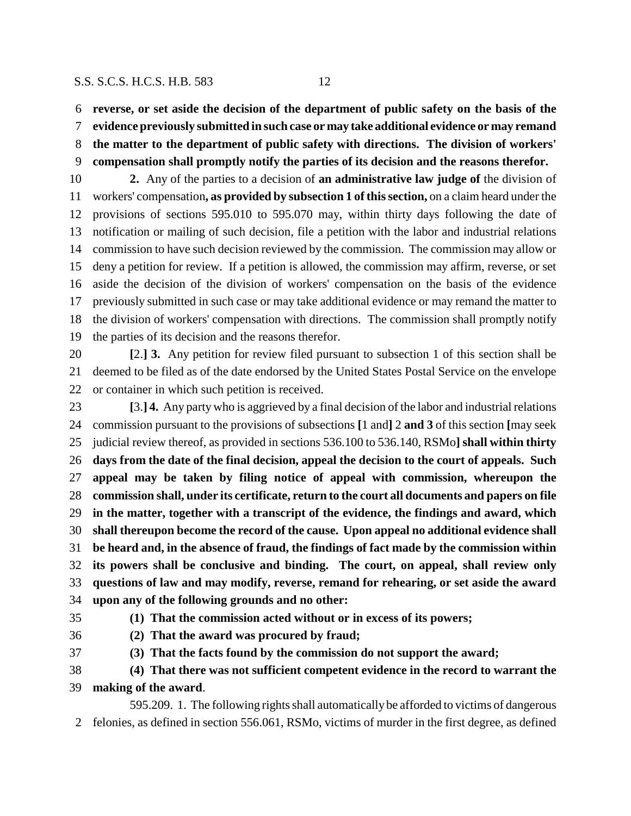**reverse, or set aside the decision of the department of public safety on the basis of the**

**evidence previously submitted in such case or may take additional evidence or may remand**

**the matter to the department of public safety with directions. The division of workers'**

**compensation shall promptly notify the parties of its decision and the reasons therefor.**

 **2.** Any of the parties to a decision of **an administrative law judge of** the division of workers' compensation**, as provided by subsection 1 of this section,** on a claim heard under the provisions of sections 595.010 to 595.070 may, within thirty days following the date of notification or mailing of such decision, file a petition with the labor and industrial relations commission to have such decision reviewed by the commission. The commission may allow or deny a petition for review. If a petition is allowed, the commission may affirm, reverse, or set aside the decision of the division of workers' compensation on the basis of the evidence previously submitted in such case or may take additional evidence or may remand the matter to the division of workers' compensation with directions. The commission shall promptly notify the parties of its decision and the reasons therefor.

 **[**2.**] 3.** Any petition for review filed pursuant to subsection 1 of this section shall be deemed to be filed as of the date endorsed by the United States Postal Service on the envelope or container in which such petition is received.

 **[**3.**] 4.** Any party who is aggrieved by a final decision of the labor and industrial relations commission pursuant to the provisions of subsections **[**1 and**]** 2 **and 3** of this section **[**may seek judicial review thereof, as provided in sections 536.100 to 536.140, RSMo**] shall within thirty days from the date of the final decision, appeal the decision to the court of appeals. Such appeal may be taken by filing notice of appeal with commission, whereupon the commission shall, under its certificate, return to the court all documents and papers on file in the matter, together with a transcript of the evidence, the findings and award, which shall thereupon become the record of the cause. Upon appeal no additional evidence shall be heard and, in the absence of fraud, the findings of fact made by the commission within its powers shall be conclusive and binding. The court, on appeal, shall review only questions of law and may modify, reverse, remand for rehearing, or set aside the award upon any of the following grounds and no other:**

- **(1) That the commission acted without or in excess of its powers;**
- 

**(2) That the award was procured by fraud;**

**(3) That the facts found by the commission do not support the award;**

 **(4) That there was not sufficient competent evidence in the record to warrant the making of the award**.

595.209. 1. The following rights shall automatically be afforded to victims of dangerous felonies, as defined in section 556.061, RSMo, victims of murder in the first degree, as defined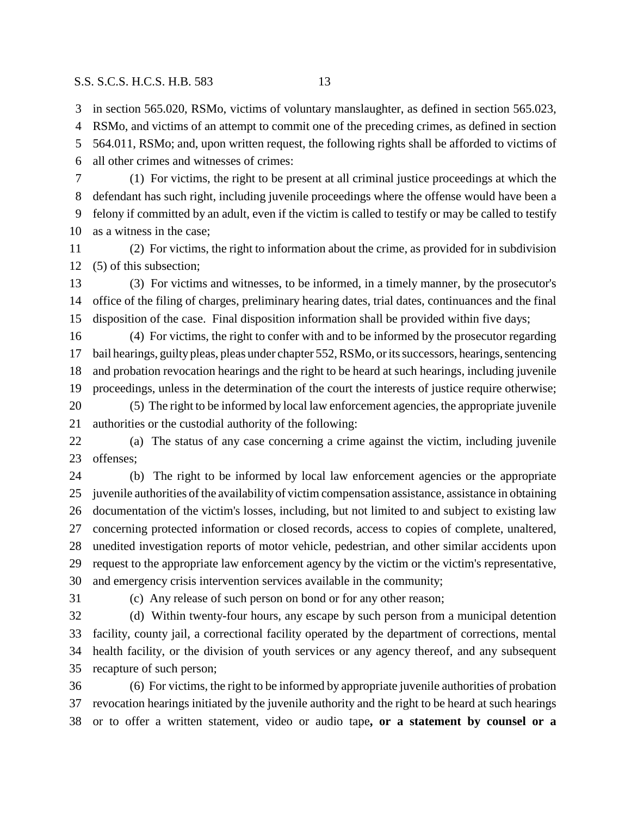in section 565.020, RSMo, victims of voluntary manslaughter, as defined in section 565.023,

 RSMo, and victims of an attempt to commit one of the preceding crimes, as defined in section 564.011, RSMo; and, upon written request, the following rights shall be afforded to victims of all other crimes and witnesses of crimes:

 (1) For victims, the right to be present at all criminal justice proceedings at which the defendant has such right, including juvenile proceedings where the offense would have been a felony if committed by an adult, even if the victim is called to testify or may be called to testify as a witness in the case;

 (2) For victims, the right to information about the crime, as provided for in subdivision (5) of this subsection;

 (3) For victims and witnesses, to be informed, in a timely manner, by the prosecutor's office of the filing of charges, preliminary hearing dates, trial dates, continuances and the final disposition of the case. Final disposition information shall be provided within five days;

 (4) For victims, the right to confer with and to be informed by the prosecutor regarding bail hearings, guilty pleas, pleas under chapter 552, RSMo, or its successors, hearings, sentencing and probation revocation hearings and the right to be heard at such hearings, including juvenile proceedings, unless in the determination of the court the interests of justice require otherwise; (5) The right to be informed by local law enforcement agencies, the appropriate juvenile

authorities or the custodial authority of the following:

 (a) The status of any case concerning a crime against the victim, including juvenile offenses;

 (b) The right to be informed by local law enforcement agencies or the appropriate juvenile authorities of the availability of victim compensation assistance, assistance in obtaining documentation of the victim's losses, including, but not limited to and subject to existing law concerning protected information or closed records, access to copies of complete, unaltered, unedited investigation reports of motor vehicle, pedestrian, and other similar accidents upon request to the appropriate law enforcement agency by the victim or the victim's representative, and emergency crisis intervention services available in the community;

(c) Any release of such person on bond or for any other reason;

 (d) Within twenty-four hours, any escape by such person from a municipal detention facility, county jail, a correctional facility operated by the department of corrections, mental health facility, or the division of youth services or any agency thereof, and any subsequent recapture of such person;

 (6) For victims, the right to be informed by appropriate juvenile authorities of probation revocation hearings initiated by the juvenile authority and the right to be heard at such hearings or to offer a written statement, video or audio tape**, or a statement by counsel or a**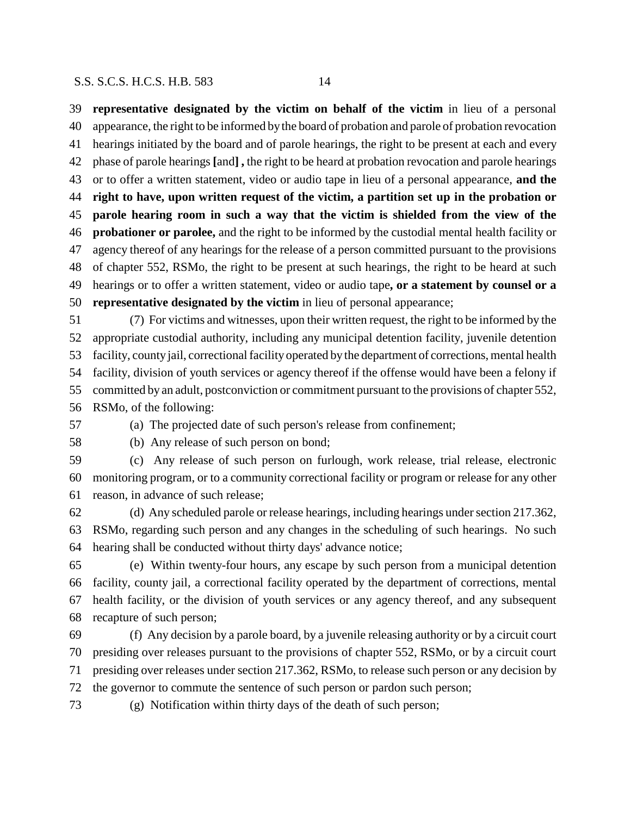**representative designated by the victim on behalf of the victim** in lieu of a personal appearance, the right to be informed by the board of probation and parole of probation revocation hearings initiated by the board and of parole hearings, the right to be present at each and every phase of parole hearings **[**and**] ,** the right to be heard at probation revocation and parole hearings or to offer a written statement, video or audio tape in lieu of a personal appearance, **and the right to have, upon written request of the victim, a partition set up in the probation or parole hearing room in such a way that the victim is shielded from the view of the probationer or parolee,** and the right to be informed by the custodial mental health facility or agency thereof of any hearings for the release of a person committed pursuant to the provisions of chapter 552, RSMo, the right to be present at such hearings, the right to be heard at such hearings or to offer a written statement, video or audio tape**, or a statement by counsel or a representative designated by the victim** in lieu of personal appearance;

 (7) For victims and witnesses, upon their written request, the right to be informed by the appropriate custodial authority, including any municipal detention facility, juvenile detention facility, county jail, correctional facility operated by the department of corrections, mental health facility, division of youth services or agency thereof if the offense would have been a felony if committed by an adult, postconviction or commitment pursuant to the provisions of chapter 552, RSMo, of the following:

(a) The projected date of such person's release from confinement;

(b) Any release of such person on bond;

 (c) Any release of such person on furlough, work release, trial release, electronic monitoring program, or to a community correctional facility or program or release for any other reason, in advance of such release;

 (d) Any scheduled parole or release hearings, including hearings under section 217.362, RSMo, regarding such person and any changes in the scheduling of such hearings. No such hearing shall be conducted without thirty days' advance notice;

 (e) Within twenty-four hours, any escape by such person from a municipal detention facility, county jail, a correctional facility operated by the department of corrections, mental health facility, or the division of youth services or any agency thereof, and any subsequent recapture of such person;

 (f) Any decision by a parole board, by a juvenile releasing authority or by a circuit court presiding over releases pursuant to the provisions of chapter 552, RSMo, or by a circuit court presiding over releases under section 217.362, RSMo, to release such person or any decision by the governor to commute the sentence of such person or pardon such person;

(g) Notification within thirty days of the death of such person;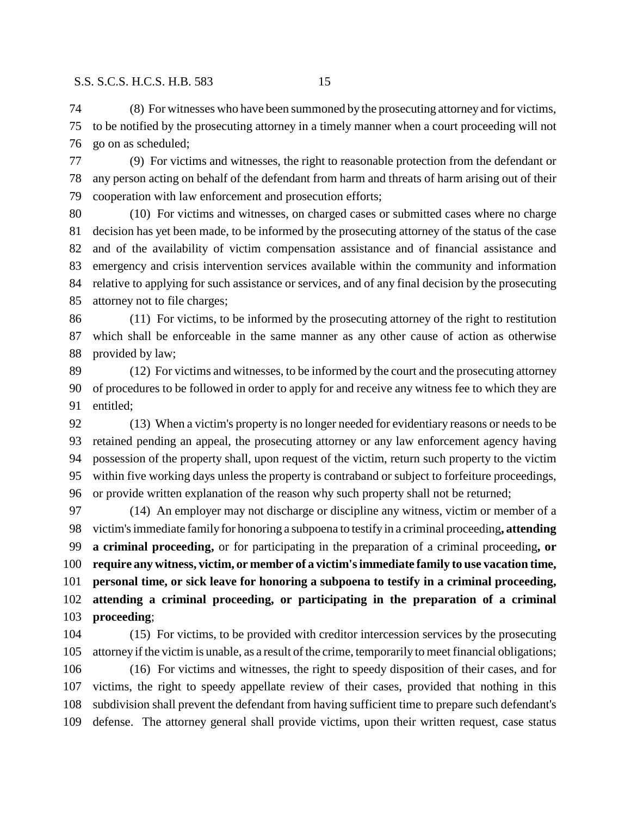(8) For witnesses who have been summoned by the prosecuting attorney and for victims, to be notified by the prosecuting attorney in a timely manner when a court proceeding will not go on as scheduled;

 (9) For victims and witnesses, the right to reasonable protection from the defendant or any person acting on behalf of the defendant from harm and threats of harm arising out of their cooperation with law enforcement and prosecution efforts;

 (10) For victims and witnesses, on charged cases or submitted cases where no charge decision has yet been made, to be informed by the prosecuting attorney of the status of the case and of the availability of victim compensation assistance and of financial assistance and emergency and crisis intervention services available within the community and information relative to applying for such assistance or services, and of any final decision by the prosecuting attorney not to file charges;

 (11) For victims, to be informed by the prosecuting attorney of the right to restitution which shall be enforceable in the same manner as any other cause of action as otherwise provided by law;

 (12) For victims and witnesses, to be informed by the court and the prosecuting attorney of procedures to be followed in order to apply for and receive any witness fee to which they are entitled;

 (13) When a victim's property is no longer needed for evidentiary reasons or needs to be retained pending an appeal, the prosecuting attorney or any law enforcement agency having possession of the property shall, upon request of the victim, return such property to the victim within five working days unless the property is contraband or subject to forfeiture proceedings, or provide written explanation of the reason why such property shall not be returned;

 (14) An employer may not discharge or discipline any witness, victim or member of a victim's immediate family for honoring a subpoena to testify in a criminal proceeding**, attending a criminal proceeding,** or for participating in the preparation of a criminal proceeding**, or require any witness, victim, or member of a victim's immediate family to use vacation time, personal time, or sick leave for honoring a subpoena to testify in a criminal proceeding, attending a criminal proceeding, or participating in the preparation of a criminal proceeding**;

 (15) For victims, to be provided with creditor intercession services by the prosecuting attorney if the victim is unable, as a result of the crime, temporarily to meet financial obligations;

 (16) For victims and witnesses, the right to speedy disposition of their cases, and for victims, the right to speedy appellate review of their cases, provided that nothing in this subdivision shall prevent the defendant from having sufficient time to prepare such defendant's defense. The attorney general shall provide victims, upon their written request, case status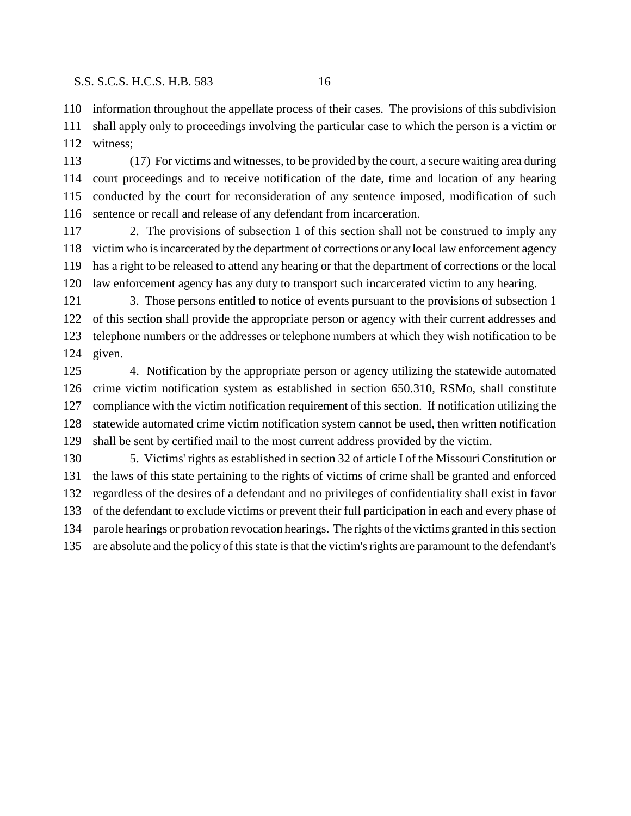information throughout the appellate process of their cases. The provisions of this subdivision shall apply only to proceedings involving the particular case to which the person is a victim or witness;

 (17) For victims and witnesses, to be provided by the court, a secure waiting area during court proceedings and to receive notification of the date, time and location of any hearing conducted by the court for reconsideration of any sentence imposed, modification of such sentence or recall and release of any defendant from incarceration.

 2. The provisions of subsection 1 of this section shall not be construed to imply any victim who is incarcerated by the department of corrections or any local law enforcement agency has a right to be released to attend any hearing or that the department of corrections or the local law enforcement agency has any duty to transport such incarcerated victim to any hearing.

 3. Those persons entitled to notice of events pursuant to the provisions of subsection 1 of this section shall provide the appropriate person or agency with their current addresses and telephone numbers or the addresses or telephone numbers at which they wish notification to be given.

 4. Notification by the appropriate person or agency utilizing the statewide automated crime victim notification system as established in section 650.310, RSMo, shall constitute compliance with the victim notification requirement of this section. If notification utilizing the statewide automated crime victim notification system cannot be used, then written notification shall be sent by certified mail to the most current address provided by the victim.

 5. Victims' rights as established in section 32 of article I of the Missouri Constitution or the laws of this state pertaining to the rights of victims of crime shall be granted and enforced regardless of the desires of a defendant and no privileges of confidentiality shall exist in favor of the defendant to exclude victims or prevent their full participation in each and every phase of parole hearings or probation revocation hearings. The rights of the victims granted in this section are absolute and the policy of this state is that the victim's rights are paramount to the defendant's